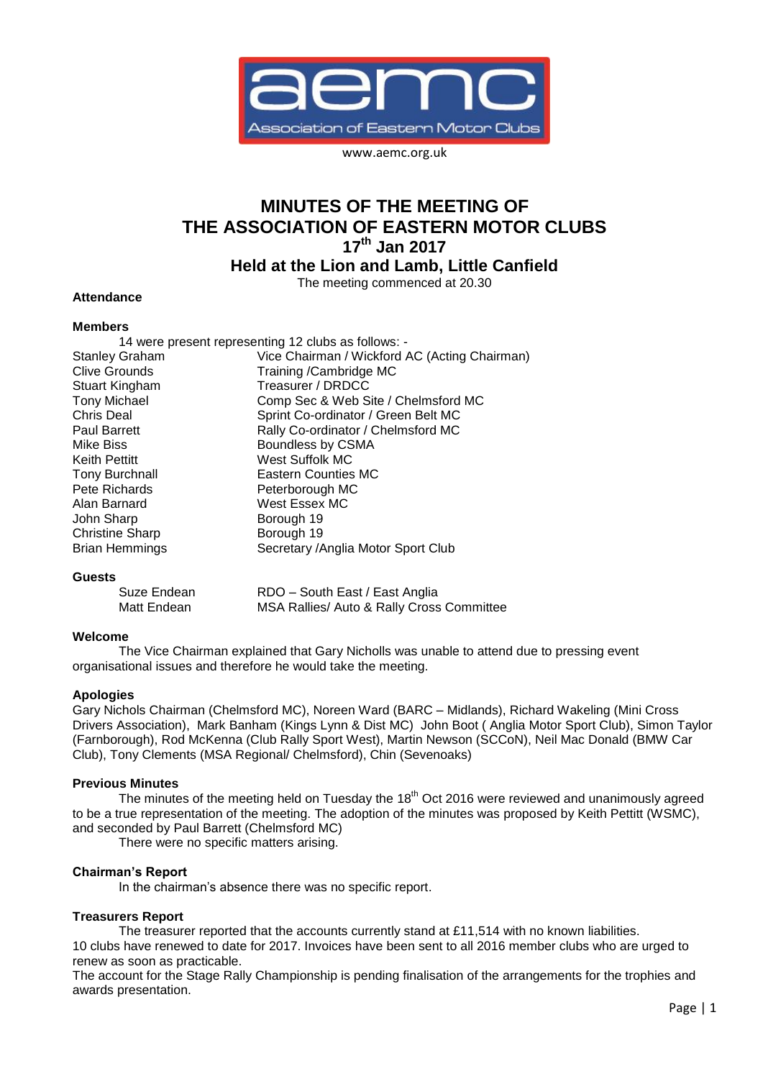

www.aemc.org.uk

# **MINUTES OF THE MEETING OF THE ASSOCIATION OF EASTERN MOTOR CLUBS 17 th Jan 2017**

**Held at the Lion and Lamb, Little Canfield**

The meeting commenced at 20.30

## **Attendance**

## **Members**

|                        | 14 were present representing 12 clubs as follows: - |
|------------------------|-----------------------------------------------------|
| <b>Stanley Graham</b>  | Vice Chairman / Wickford AC (Acting Chairman)       |
| Clive Grounds          | Training /Cambridge MC                              |
| Stuart Kingham         | Treasurer / DRDCC                                   |
| <b>Tony Michael</b>    | Comp Sec & Web Site / Chelmsford MC                 |
| Chris Deal             | Sprint Co-ordinator / Green Belt MC                 |
| <b>Paul Barrett</b>    | Rally Co-ordinator / Chelmsford MC                  |
| Mike Biss              | Boundless by CSMA                                   |
| Keith Pettitt          | West Suffolk MC                                     |
| <b>Tony Burchnall</b>  | <b>Eastern Counties MC</b>                          |
| Pete Richards          | Peterborough MC                                     |
| Alan Barnard           | West Essex MC                                       |
| John Sharp             | Borough 19                                          |
| <b>Christine Sharp</b> | Borough 19                                          |
| <b>Brian Hemmings</b>  | Secretary / Anglia Motor Sport Club                 |
|                        |                                                     |

#### **Guests**

| Suze Endean | RDO - South East / East Anglia            |
|-------------|-------------------------------------------|
| Matt Endean | MSA Rallies/ Auto & Rally Cross Committee |

## **Welcome**

The Vice Chairman explained that Gary Nicholls was unable to attend due to pressing event organisational issues and therefore he would take the meeting.

## **Apologies**

Gary Nichols Chairman (Chelmsford MC), Noreen Ward (BARC – Midlands), Richard Wakeling (Mini Cross Drivers Association), Mark Banham (Kings Lynn & Dist MC) John Boot ( Anglia Motor Sport Club), Simon Taylor (Farnborough), Rod McKenna (Club Rally Sport West), Martin Newson (SCCoN), Neil Mac Donald (BMW Car Club), Tony Clements (MSA Regional/ Chelmsford), Chin (Sevenoaks)

#### **Previous Minutes**

The minutes of the meeting held on Tuesday the 18<sup>th</sup> Oct 2016 were reviewed and unanimously agreed to be a true representation of the meeting. The adoption of the minutes was proposed by Keith Pettitt (WSMC), and seconded by Paul Barrett (Chelmsford MC)

There were no specific matters arising.

# **Chairman's Report**

In the chairman's absence there was no specific report.

#### **Treasurers Report**

The treasurer reported that the accounts currently stand at £11,514 with no known liabilities. 10 clubs have renewed to date for 2017. Invoices have been sent to all 2016 member clubs who are urged to renew as soon as practicable.

The account for the Stage Rally Championship is pending finalisation of the arrangements for the trophies and awards presentation.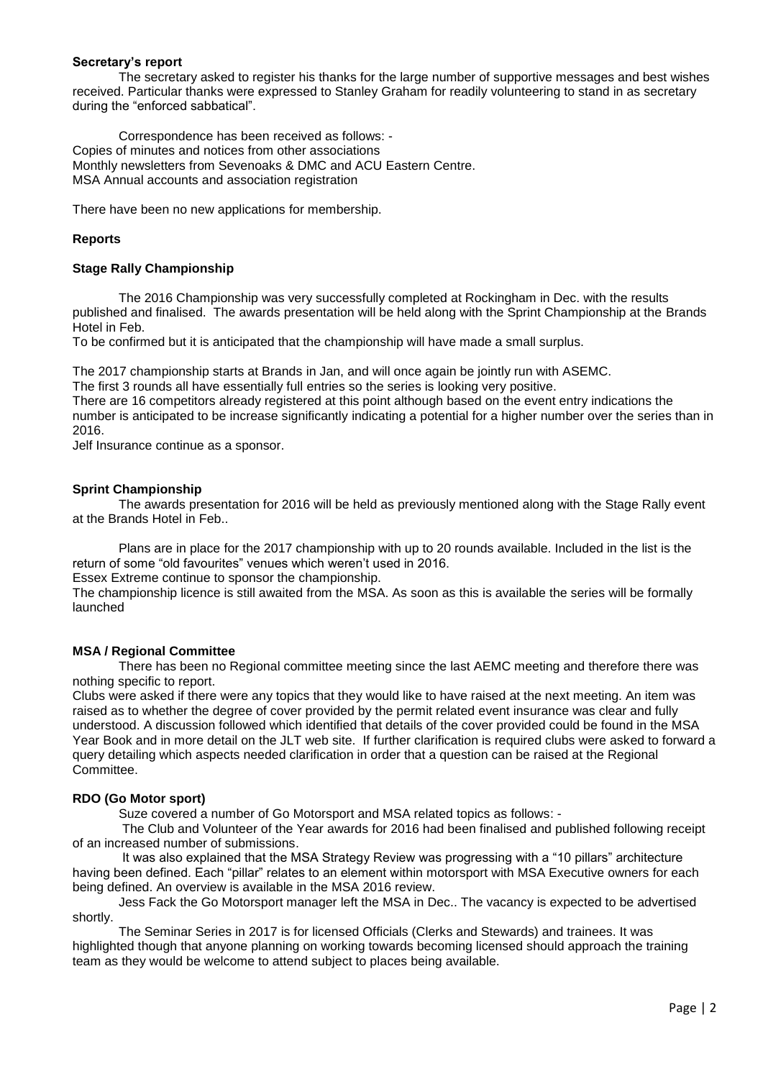## **Secretary's report**

The secretary asked to register his thanks for the large number of supportive messages and best wishes received. Particular thanks were expressed to Stanley Graham for readily volunteering to stand in as secretary during the "enforced sabbatical".

Correspondence has been received as follows: - Copies of minutes and notices from other associations Monthly newsletters from Sevenoaks & DMC and ACU Eastern Centre. MSA Annual accounts and association registration

There have been no new applications for membership.

## **Reports**

## **Stage Rally Championship**

The 2016 Championship was very successfully completed at Rockingham in Dec. with the results published and finalised. The awards presentation will be held along with the Sprint Championship at the Brands Hotel in Feb.

To be confirmed but it is anticipated that the championship will have made a small surplus.

The 2017 championship starts at Brands in Jan, and will once again be jointly run with ASEMC.

The first 3 rounds all have essentially full entries so the series is looking very positive.

There are 16 competitors already registered at this point although based on the event entry indications the number is anticipated to be increase significantly indicating a potential for a higher number over the series than in 2016.

Jelf Insurance continue as a sponsor.

## **Sprint Championship**

The awards presentation for 2016 will be held as previously mentioned along with the Stage Rally event at the Brands Hotel in Feb..

Plans are in place for the 2017 championship with up to 20 rounds available. Included in the list is the return of some "old favourites" venues which weren't used in 2016.

Essex Extreme continue to sponsor the championship.

The championship licence is still awaited from the MSA. As soon as this is available the series will be formally launched

## **MSA / Regional Committee**

There has been no Regional committee meeting since the last AEMC meeting and therefore there was nothing specific to report.

Clubs were asked if there were any topics that they would like to have raised at the next meeting. An item was raised as to whether the degree of cover provided by the permit related event insurance was clear and fully understood. A discussion followed which identified that details of the cover provided could be found in the MSA Year Book and in more detail on the JLT web site. If further clarification is required clubs were asked to forward a query detailing which aspects needed clarification in order that a question can be raised at the Regional Committee.

## **RDO (Go Motor sport)**

Suze covered a number of Go Motorsport and MSA related topics as follows: -

The Club and Volunteer of the Year awards for 2016 had been finalised and published following receipt of an increased number of submissions.

It was also explained that the MSA Strategy Review was progressing with a "10 pillars" architecture having been defined. Each "pillar" relates to an element within motorsport with MSA Executive owners for each being defined. An overview is available in the MSA 2016 review.

Jess Fack the Go Motorsport manager left the MSA in Dec.. The vacancy is expected to be advertised shortly.

The Seminar Series in 2017 is for licensed Officials (Clerks and Stewards) and trainees. It was highlighted though that anyone planning on working towards becoming licensed should approach the training team as they would be welcome to attend subject to places being available.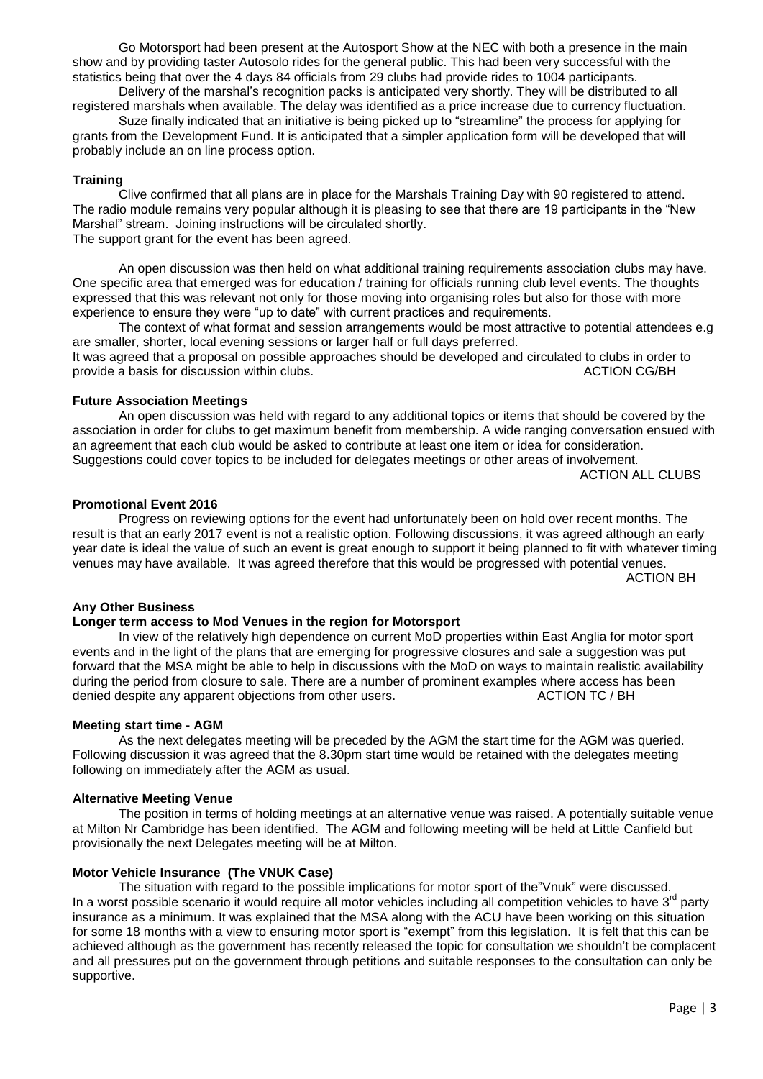Go Motorsport had been present at the Autosport Show at the NEC with both a presence in the main show and by providing taster Autosolo rides for the general public. This had been very successful with the statistics being that over the 4 days 84 officials from 29 clubs had provide rides to 1004 participants.

Delivery of the marshal's recognition packs is anticipated very shortly. They will be distributed to all registered marshals when available. The delay was identified as a price increase due to currency fluctuation.

Suze finally indicated that an initiative is being picked up to "streamline" the process for applying for grants from the Development Fund. It is anticipated that a simpler application form will be developed that will probably include an on line process option.

## **Training**

Clive confirmed that all plans are in place for the Marshals Training Day with 90 registered to attend. The radio module remains very popular although it is pleasing to see that there are 19 participants in the "New Marshal" stream. Joining instructions will be circulated shortly. The support grant for the event has been agreed.

An open discussion was then held on what additional training requirements association clubs may have. One specific area that emerged was for education / training for officials running club level events. The thoughts expressed that this was relevant not only for those moving into organising roles but also for those with more experience to ensure they were "up to date" with current practices and requirements.

The context of what format and session arrangements would be most attractive to potential attendees e.g are smaller, shorter, local evening sessions or larger half or full days preferred. It was agreed that a proposal on possible approaches should be developed and circulated to clubs in order to provide a basis for discussion within clubs. ACTION CG/BH

## **Future Association Meetings**

An open discussion was held with regard to any additional topics or items that should be covered by the association in order for clubs to get maximum benefit from membership. A wide ranging conversation ensued with an agreement that each club would be asked to contribute at least one item or idea for consideration. Suggestions could cover topics to be included for delegates meetings or other areas of involvement.

ACTION ALL CLUBS

## **Promotional Event 2016**

Progress on reviewing options for the event had unfortunately been on hold over recent months. The result is that an early 2017 event is not a realistic option. Following discussions, it was agreed although an early year date is ideal the value of such an event is great enough to support it being planned to fit with whatever timing venues may have available. It was agreed therefore that this would be progressed with potential venues.

ACTION BH

# **Any Other Business**

## **Longer term access to Mod Venues in the region for Motorsport**

In view of the relatively high dependence on current MoD properties within East Anglia for motor sport events and in the light of the plans that are emerging for progressive closures and sale a suggestion was put forward that the MSA might be able to help in discussions with the MoD on ways to maintain realistic availability during the period from closure to sale. There are a number of prominent examples where access has been denied despite any apparent objections from other users. ACTION TC / BH denied despite any apparent objections from other users.

## **Meeting start time - AGM**

As the next delegates meeting will be preceded by the AGM the start time for the AGM was queried. Following discussion it was agreed that the 8.30pm start time would be retained with the delegates meeting following on immediately after the AGM as usual.

## **Alternative Meeting Venue**

The position in terms of holding meetings at an alternative venue was raised. A potentially suitable venue at Milton Nr Cambridge has been identified. The AGM and following meeting will be held at Little Canfield but provisionally the next Delegates meeting will be at Milton.

## **Motor Vehicle Insurance (The VNUK Case)**

The situation with regard to the possible implications for motor sport of the"Vnuk" were discussed. In a worst possible scenario it would require all motor vehicles including all competition vehicles to have 3<sup>rd</sup> party insurance as a minimum. It was explained that the MSA along with the ACU have been working on this situation for some 18 months with a view to ensuring motor sport is "exempt" from this legislation. It is felt that this can be achieved although as the government has recently released the topic for consultation we shouldn't be complacent and all pressures put on the government through petitions and suitable responses to the consultation can only be supportive.